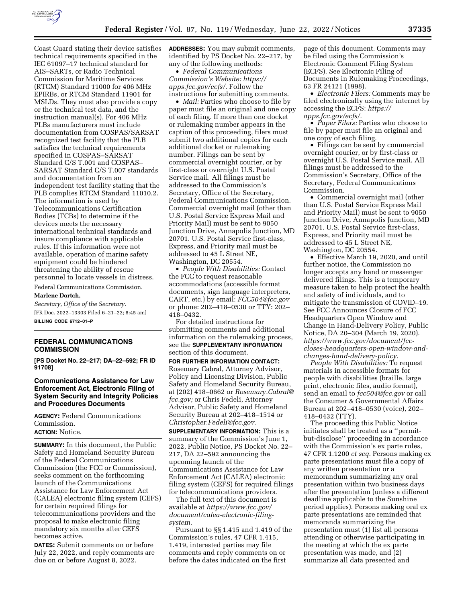

Coast Guard stating their device satisfies technical requirements specified in the IEC 61097–17 technical standard for AIS–SARTs, or Radio Technical Commission for Maritime Services (RTCM) Standard 11000 for 406 MHz EPIRBs, or RTCM Standard 11901 for MSLDs. They must also provide a copy or the technical test data, and the instruction manual(s). For 406 MHz PLBs manufacturers must include documentation from COSPAS/SARSAT recognized test facility that the PLB satisfies the technical requirements specified in COSPAS–SARSAT Standard C/S T.001 and COSPAS– SARSAT Standard C/S T.007 standards and documentation from an independent test facility stating that the PLB complies RTCM Standard 11010.2. The information is used by Telecommunications Certification Bodies (TCBs) to determine if the devices meets the necessary international technical standards and insure compliance with applicable rules. If this information were not available, operation of marine safety equipment could be hindered threatening the ability of rescue personnel to locate vessels in distress.

Federal Communications Commission. **Marlene Dortch,** 

*Secretary, Office of the Secretary.* 

[FR Doc. 2022–13303 Filed 6–21–22; 8:45 am] **BILLING CODE 6712–01–P** 

#### **FEDERAL COMMUNICATIONS COMMISSION**

**[PS Docket No. 22–217; DA–22–592; FR ID 91708]** 

## **Communications Assistance for Law Enforcement Act, Electronic Filing of System Security and Integrity Policies and Procedures Documents**

**AGENCY:** Federal Communications Commission.

## **ACTION:** Notice.

**SUMMARY:** In this document, the Public Safety and Homeland Security Bureau of the Federal Communications Commission (the FCC or Commission), seeks comment on the forthcoming launch of the Communications Assistance for Law Enforcement Act (CALEA) electronic filing system (CEFS) for certain required filings for telecommunications providers and the proposal to make electronic filing mandatory six months after CEFS becomes active.

**DATES:** Submit comments on or before July 22, 2022, and reply comments are due on or before August 8, 2022.

**ADDRESSES:** You may submit comments, identified by PS Docket No. 22–217, by any of the following methods:

• *Federal Communications Commission's Website: [https://](https://apps.fcc.gov/ecfs/) [apps.fcc.gov/ecfs/.](https://apps.fcc.gov/ecfs/)* Follow the instructions for submitting comments.

• *Mail:* Parties who choose to file by paper must file an original and one copy of each filing. If more than one docket or rulemaking number appears in the caption of this proceeding, filers must submit two additional copies for each additional docket or rulemaking number. Filings can be sent by commercial overnight courier, or by first-class or overnight U.S. Postal Service mail. All filings must be addressed to the Commission's Secretary, Office of the Secretary, Federal Communications Commission. Commercial overnight mail (other than U.S. Postal Service Express Mail and Priority Mail) must be sent to 9050 Junction Drive, Annapolis Junction, MD 20701. U.S. Postal Service first-class, Express, and Priority mail must be addressed to 45 L Street NE, Washington, DC 20554.

• *People With Disabilities:* Contact the FCC to request reasonable accommodations (accessible format documents, sign language interpreters, CART, etc.) by email: *[FCC504@fcc.gov](mailto:FCC504@fcc.gov)*  or phone: 202–418–0530 or TTY: 202– 418–0432.

For detailed instructions for submitting comments and additional information on the rulemaking process, see the **SUPPLEMENTARY INFORMATION** section of this document.

**FOR FURTHER INFORMATION CONTACT:**  Rosemary Cabral, Attorney Advisor, Policy and Licensing Division, Public Safety and Homeland Security Bureau, at (202) 418–0662 or *[Rosemary.Cabral@](mailto:Rosemary.Cabral@fcc.gov) [fcc.gov;](mailto:Rosemary.Cabral@fcc.gov)* or Chris Fedeli, Attorney Advisor, Public Safety and Homeland Security Bureau at 202–418–1514 or *[Christopher.Fedeli@fcc.gov.](mailto:Christopher.Fedeli@fcc.gov)* 

**SUPPLEMENTARY INFORMATION:** This is a summary of the Commission's June 1, 2022, Public Notice, PS Docket No. 22– 217, DA 22–592 announcing the upcoming launch of the Communications Assistance for Law Enforcement Act (CALEA) electronic filing system (CEFS) for required filings for telecommunications providers.

The full text of this document is available at *[https://www.fcc.gov/](https://www.fcc.gov/document/calea-electronic-filing-system)  [document/calea-electronic-filing](https://www.fcc.gov/document/calea-electronic-filing-system)[system.](https://www.fcc.gov/document/calea-electronic-filing-system)* 

Pursuant to §§ 1.415 and 1.419 of the Commission's rules, 47 CFR 1.415, 1.419, interested parties may file comments and reply comments on or before the dates indicated on the first

page of this document. Comments may be filed using the Commission's Electronic Comment Filing System (ECFS). See Electronic Filing of Documents in Rulemaking Proceedings, 63 FR 24121 (1998).

• *Electronic Filers:* Comments may be filed electronically using the internet by accessing the ECFS: *[https://](https://apps.fcc.gov/ecfs/) [apps.fcc.gov/ecfs/.](https://apps.fcc.gov/ecfs/)* 

• *Paper Filers:* Parties who choose to file by paper must file an original and one copy of each filing.

• Filings can be sent by commercial overnight courier, or by first-class or overnight U.S. Postal Service mail. All filings must be addressed to the Commission's Secretary, Office of the Secretary, Federal Communications Commission.

• Commercial overnight mail (other than U.S. Postal Service Express Mail and Priority Mail) must be sent to 9050 Junction Drive, Annapolis Junction, MD 20701. U.S. Postal Service first-class, Express, and Priority mail must be addressed to 45 L Street NE, Washington, DC 20554.

• Effective March 19, 2020, and until further notice, the Commission no longer accepts any hand or messenger delivered filings. This is a temporary measure taken to help protect the health and safety of individuals, and to mitigate the transmission of COVID–19. See FCC Announces Closure of FCC Headquarters Open Window and Change in Hand-Delivery Policy, Public Notice, DA 20–304 (March 19, 2020). *[https://www.fcc.gov/document/fcc](https://www.fcc.gov/document/fcc-closes-headquarters-open-window-and-changes-hand-delivery-policy)[closes-headquarters-open-window-and](https://www.fcc.gov/document/fcc-closes-headquarters-open-window-and-changes-hand-delivery-policy)[changes-hand-delivery-policy.](https://www.fcc.gov/document/fcc-closes-headquarters-open-window-and-changes-hand-delivery-policy)* 

*People With Disabilities:* To request materials in accessible formats for people with disabilities (braille, large print, electronic files, audio format), send an email to *[fcc504@fcc.gov](mailto:fcc504@fcc.gov)* or call the Consumer & Governmental Affairs Bureau at 202–418–0530 (voice), 202– 418–0432 (TTY).

The proceeding this Public Notice initiates shall be treated as a ''permitbut-disclose'' proceeding in accordance with the Commission's ex parte rules, 47 CFR 1.1200 *et seq.* Persons making ex parte presentations must file a copy of any written presentation or a memorandum summarizing any oral presentation within two business days after the presentation (unless a different deadline applicable to the Sunshine period applies). Persons making oral ex parte presentations are reminded that memoranda summarizing the presentation must (1) list all persons attending or otherwise participating in the meeting at which the ex parte presentation was made, and (2) summarize all data presented and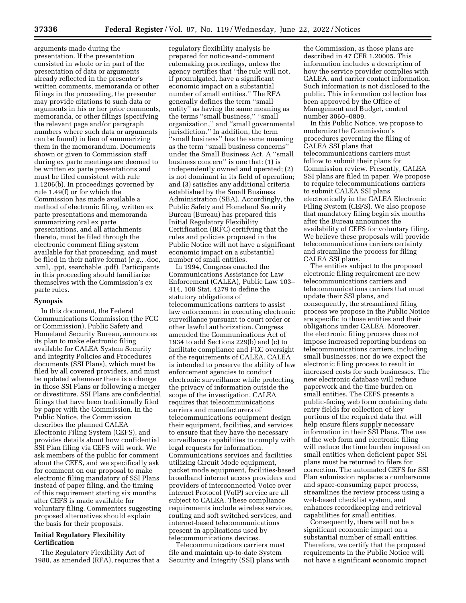arguments made during the presentation. If the presentation consisted in whole or in part of the presentation of data or arguments already reflected in the presenter's written comments, memoranda or other filings in the proceeding, the presenter may provide citations to such data or arguments in his or her prior comments, memoranda, or other filings (specifying the relevant page and/or paragraph numbers where such data or arguments can be found) in lieu of summarizing them in the memorandum. Documents shown or given to Commission staff during ex parte meetings are deemed to be written ex parte presentations and must be filed consistent with rule 1.1206(b). In proceedings governed by rule 1.49(f) or for which the Commission has made available a method of electronic filing, written ex parte presentations and memoranda summarizing oral ex parte presentations, and all attachments thereto, must be filed through the electronic comment filing system available for that proceeding, and must be filed in their native format (*e.g.,* .doc, .xml, .ppt, searchable .pdf). Participants in this proceeding should familiarize themselves with the Commission's ex parte rules.

#### **Synopsis**

In this document, the Federal Communications Commission (the FCC or Commission), Public Safety and Homeland Security Bureau, announces its plan to make electronic filing available for CALEA System Security and Integrity Policies and Procedures documents (SSI Plans), which must be filed by all covered providers, and must be updated whenever there is a change in those SSI Plans or following a merger or divestiture. SSI Plans are confidential filings that have been traditionally filed by paper with the Commission. In the Public Notice, the Commission describes the planned CALEA Electronic Filing System (CEFS), and provides details about how confidential SSI Plan filing via CEFS will work. We ask members of the public for comment about the CEFS, and we specifically ask for comment on our proposal to make electronic filing mandatory of SSI Plans instead of paper filing, and the timing of this requirement starting six months after CEFS is made available for voluntary filing. Commenters suggesting proposed alternatives should explain the basis for their proposals.

# **Initial Regulatory Flexibility Certification**

The Regulatory Flexibility Act of 1980, as amended (RFA), requires that a

regulatory flexibility analysis be prepared for notice-and-comment rulemaking proceedings, unless the agency certifies that ''the rule will not, if promulgated, have a significant economic impact on a substantial number of small entities.'' The RFA generally defines the term ''small entity'' as having the same meaning as the terms ''small business,'' ''small organization,'' and ''small governmental jurisdiction.'' In addition, the term ''small business'' has the same meaning as the term ''small business concerns'' under the Small Business Act. A ''small business concern'' is one that: (1) is independently owned and operated; (2) is not dominant in its field of operation; and (3) satisfies any additional criteria established by the Small Business Administration (SBA). Accordingly, the Public Safety and Homeland Security Bureau (Bureau) has prepared this Initial Regulatory Flexibility Certification (IRFC) certifying that the rules and policies proposed in the Public Notice will not have a significant economic impact on a substantial number of small entities.

In 1994, Congress enacted the Communications Assistance for Law Enforcement (CALEA), Public Law 103– 414, 108 Stat. 4279 to define the statutory obligations of telecommunications carriers to assist law enforcement in executing electronic surveillance pursuant to court order or other lawful authorization. Congress amended the Communications Act of 1934 to add Sections 229(b) and (c) to facilitate compliance and FCC oversight of the requirements of CALEA. CALEA is intended to preserve the ability of law enforcement agencies to conduct electronic surveillance while protecting the privacy of information outside the scope of the investigation. CALEA requires that telecommunications carriers and manufacturers of telecommunications equipment design their equipment, facilities, and services to ensure that they have the necessary surveillance capabilities to comply with legal requests for information. Communications services and facilities utilizing Circuit Mode equipment, packet mode equipment, facilities-based broadband internet access providers and providers of interconnected Voice over internet Protocol (VoIP) service are all subject to CALEA. These compliance requirements include wireless services, routing and soft switched services, and internet-based telecommunications present in applications used by telecommunications devices.

Telecommunications carriers must file and maintain up-to-date System Security and Integrity (SSI) plans with

the Commission, as those plans are described in 47 CFR 1.20005. This information includes a description of how the service provider complies with CALEA, and carrier contact information. Such information is not disclosed to the public. This information collection has been approved by the Office of Management and Budget, control number 3060–0809.

In this Public Notice, we propose to modernize the Commission's procedures governing the filing of CALEA SSI plans that telecommunications carriers must follow to submit their plans for Commission review. Presently, CALEA SSI plans are filed in paper. We propose to require telecommunications carriers to submit CALEA SSI plans electronically in the CALEA Electronic Filing System (CEFS). We also propose that mandatory filing begin six months after the Bureau announces the availability of CEFS for voluntary filing. We believe these proposals will provide telecommunications carriers certainty and streamline the process for filing CALEA SSI plans.

The entities subject to the proposed electronic filing requirement are new telecommunications carriers and telecommunications carriers that must update their SSI plans, and consequently, the streamlined filing process we propose in the Public Notice are specific to those entities and their obligations under CALEA. Moreover, the electronic filing process does not impose increased reporting burdens on telecommunications carriers, including small businesses; nor do we expect the electronic filing process to result in increased costs for such businesses. The new electronic database will reduce paperwork and the time burden on small entities. The CEFS presents a public-facing web form containing data entry fields for collection of key portions of the required data that will help ensure filers supply necessary information in their SSI Plans. The use of the web form and electronic filing will reduce the time burden imposed on small entities when deficient paper SSI plans must be returned to filers for correction. The automated CEFS for SSI Plan submission replaces a cumbersome and space-consuming paper process, streamlines the review process using a web-based checklist system, and enhances recordkeeping and retrieval capabilities for small entities.

Consequently, there will not be a significant economic impact on a substantial number of small entities. Therefore, we certify that the proposed requirements in the Public Notice will not have a significant economic impact